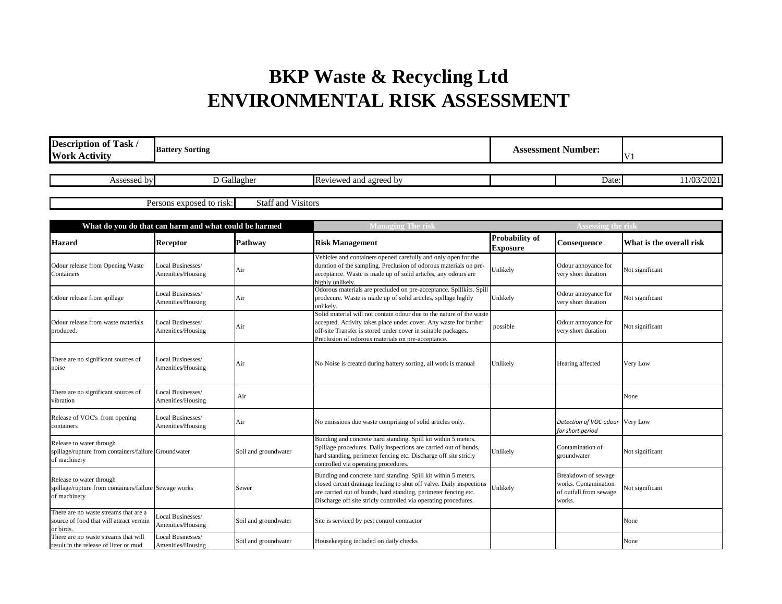## **BKP Waste & Recycling Ltd ENVIRONMENTAL RISK ASSESSMENT**

| <b>Description of Task /</b><br><b>Work Activity</b>                                              | <b>Battery Sorting</b>                 |                           | <b>Assessment Number:</b>                                                                                                                                                                                                                                                    |                                          | V <sub>1</sub>                                                                  |                          |
|---------------------------------------------------------------------------------------------------|----------------------------------------|---------------------------|------------------------------------------------------------------------------------------------------------------------------------------------------------------------------------------------------------------------------------------------------------------------------|------------------------------------------|---------------------------------------------------------------------------------|--------------------------|
| Assessed by                                                                                       | D Gallagher                            |                           | Reviewed and agreed by                                                                                                                                                                                                                                                       |                                          | Date:                                                                           | 11/03/2021               |
|                                                                                                   | Persons exposed to risk:               | <b>Staff and Visitors</b> |                                                                                                                                                                                                                                                                              |                                          |                                                                                 |                          |
| What do you do that can harm and what could be harmed                                             |                                        |                           | <b>Managing The risk</b>                                                                                                                                                                                                                                                     |                                          | <b>Assessing the risk</b>                                                       |                          |
| <b>Hazard</b>                                                                                     | <b>Receptor</b>                        | <b>Pathway</b>            | <b>Risk Management</b>                                                                                                                                                                                                                                                       | <b>Probability of</b><br><b>Exposure</b> | Consequence                                                                     | What is the overall risk |
| Odour release from Opening Waste<br>Containers                                                    | Local Businesses/<br>Amenities/Housing | Air                       | Vehicles and containers opened carefully and only open for the<br>duration of the sampling. Preclusion of odorous materials on pre-<br>acceptance. Waste is made up of solid articles, any odours are<br>highly unlikely.                                                    | Unlikely                                 | Odour annoyance for<br>very short duration                                      | Not significant          |
| Odour release from spillage                                                                       | Local Businesses/<br>Amenities/Housing | Air                       | Odorous materials are precluded on pre-acceptance. Spillkits. Spill<br>prodecure. Waste is made up of solid articles, spillage highly<br>unlikely.                                                                                                                           | Unlikely                                 | Odour annoyance for<br>very short duration                                      | Not significant          |
| Odour release from waste materials<br>produced.                                                   | Local Businesses/<br>Amenities/Housing | Air                       | Solid material will not contain odour due to the nature of the waste<br>accepted. Activity takes place under cover. Any waste for further<br>off-site Transfer is stored under cover in suitable packages.<br>Preclusion of odorous materials on pre-acceptance.             | possible                                 | Odour annoyance for<br>very short duration                                      | Not significant          |
| There are no significant sources of<br>noise                                                      | Local Businesses/<br>Amenities/Housing | Air                       | No Noise is created during battery sorting, all work is manual                                                                                                                                                                                                               | Unlikely                                 | Hearing affected                                                                | Very Low                 |
| There are no significant sources of<br>vibration                                                  | Local Businesses/<br>Amenities/Housing | Air                       |                                                                                                                                                                                                                                                                              |                                          |                                                                                 | None                     |
| Release of VOC's from opening<br>containers                                                       | Local Businesses/<br>Amenities/Housing | Air                       | No emissions due waste comprising of solid articles only.                                                                                                                                                                                                                    |                                          | Detection of VOC odour Very Low<br>for short period                             |                          |
| Release to water through<br>spillage/rupture from containers/failure Groundwater<br>of machinery  |                                        | Soil and groundwater      | Bunding and concrete hard standing. Spill kit within 5 meters.<br>Spillage procedures. Daily inspections are carried out of bunds,<br>hard standing, perimeter fencing etc. Discharge off site stricly<br>controlled via operating procedures.                               | Unlikely                                 | Contamination of<br>groundwater                                                 | Not significant          |
| Release to water through<br>spillage/rupture from containers/failure Sewage works<br>of machinery |                                        | Sewer                     | Bunding and concrete hard standing. Spill kit within 5 meters.<br>closed circuit drainage leading to shut off valve. Daily inspections<br>are carried out of bunds, hard standing, perimeter fencing etc.<br>Discharge off site stricly controlled via operating procedures. | Unlikely                                 | Breakdown of sewage<br>works. Contamination<br>of outfall from sewage<br>works. | Not significant          |
| There are no waste streams that are a<br>source of food that will attract vermin<br>or birds.     | Local Businesses/<br>Amenities/Housing | Soil and groundwater      | Site is serviced by pest control contractor                                                                                                                                                                                                                                  |                                          |                                                                                 | None                     |
| There are no waste streams that will<br>result in the release of litter or mud                    | Local Businesses/<br>Amenities/Housing | Soil and groundwater      | Housekeeping included on daily checks                                                                                                                                                                                                                                        |                                          |                                                                                 | None                     |